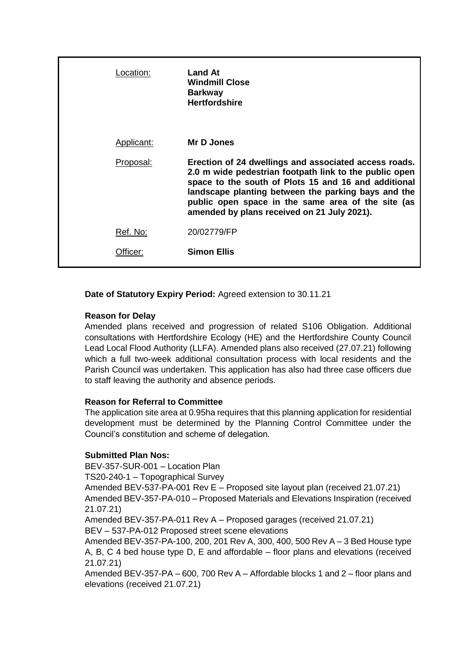| Location:  | <b>Land At</b><br><b>Windmill Close</b><br><b>Barkway</b><br><b>Hertfordshire</b>                                                                                                                                                                                                                                                   |
|------------|-------------------------------------------------------------------------------------------------------------------------------------------------------------------------------------------------------------------------------------------------------------------------------------------------------------------------------------|
| Applicant: | Mr D Jones                                                                                                                                                                                                                                                                                                                          |
| Proposal:  | Erection of 24 dwellings and associated access roads.<br>2.0 m wide pedestrian footpath link to the public open<br>space to the south of Plots 15 and 16 and additional<br>landscape planting between the parking bays and the<br>public open space in the same area of the site (as<br>amended by plans received on 21 July 2021). |
| Ref. No:   | 20/02779/FP                                                                                                                                                                                                                                                                                                                         |
| Officer:   | <b>Simon Ellis</b>                                                                                                                                                                                                                                                                                                                  |

**Date of Statutory Expiry Period:** Agreed extension to 30.11.21

# **Reason for Delay**

Amended plans received and progression of related S106 Obligation. Additional consultations with Hertfordshire Ecology (HE) and the Hertfordshire County Council Lead Local Flood Authority (LLFA). Amended plans also received (27.07.21) following which a full two-week additional consultation process with local residents and the Parish Council was undertaken. This application has also had three case officers due to staff leaving the authority and absence periods.

#### **Reason for Referral to Committee**

The application site area at 0.95ha requires that this planning application for residential development must be determined by the Planning Control Committee under the Council's constitution and scheme of delegation.

#### **Submitted Plan Nos:**

BEV-357-SUR-001 – Location Plan TS20-240-1 – Topographical Survey

Amended BEV-537-PA-001 Rev E – Proposed site layout plan (received 21.07.21) Amended BEV-357-PA-010 – Proposed Materials and Elevations Inspiration (received

```
21.07.21)
```
Amended BEV-357-PA-011 Rev A – Proposed garages (received 21.07.21) BEV – 537-PA-012 Proposed street scene elevations

Amended BEV-357-PA-100, 200, 201 Rev A, 300, 400, 500 Rev A – 3 Bed House type A, B, C 4 bed house type D, E and affordable – floor plans and elevations (received 21.07.21)

Amended BEV-357-PA – 600, 700 Rev A – Affordable blocks 1 and 2 – floor plans and elevations (received 21.07.21)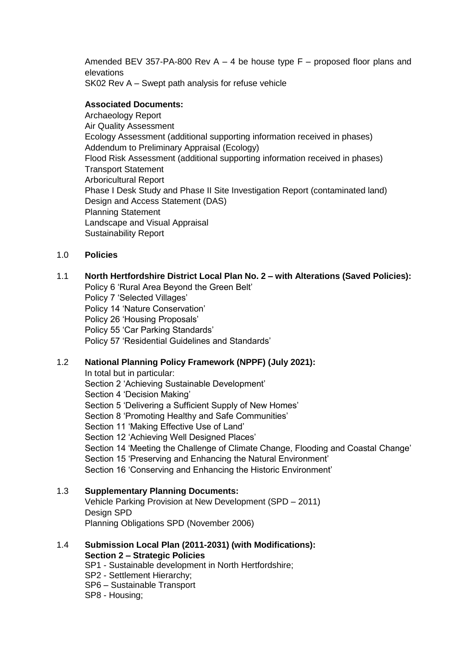Amended BEV 357-PA-800 Rev A – 4 be house type  $F -$  proposed floor plans and elevations

SK02 Rev A – Swept path analysis for refuse vehicle

## **Associated Documents:**

Archaeology Report Air Quality Assessment Ecology Assessment (additional supporting information received in phases) Addendum to Preliminary Appraisal (Ecology) Flood Risk Assessment (additional supporting information received in phases) Transport Statement Arboricultural Report Phase I Desk Study and Phase II Site Investigation Report (contaminated land) Design and Access Statement (DAS) Planning Statement Landscape and Visual Appraisal Sustainability Report

# 1.0 **Policies**

# 1.1 **North Hertfordshire District Local Plan No. 2 – with Alterations (Saved Policies):**

Policy 6 'Rural Area Beyond the Green Belt' Policy 7 'Selected Villages' Policy 14 'Nature Conservation' Policy 26 'Housing Proposals' Policy 55 'Car Parking Standards' Policy 57 'Residential Guidelines and Standards'

# 1.2 **National Planning Policy Framework (NPPF) (July 2021):**

In total but in particular: Section 2 'Achieving Sustainable Development' Section 4 'Decision Making' Section 5 'Delivering a Sufficient Supply of New Homes' Section 8 'Promoting Healthy and Safe Communities' Section 11 'Making Effective Use of Land' Section 12 'Achieving Well Designed Places' Section 14 'Meeting the Challenge of Climate Change, Flooding and Coastal Change' Section 15 'Preserving and Enhancing the Natural Environment' Section 16 'Conserving and Enhancing the Historic Environment'

#### 1.3 **Supplementary Planning Documents:**

Vehicle Parking Provision at New Development (SPD – 2011) Design SPD Planning Obligations SPD (November 2006)

## 1.4 **Submission Local Plan (2011-2031) (with Modifications): Section 2 – Strategic Policies**

SP1 - Sustainable development in North Hertfordshire;

- SP2 Settlement Hierarchy;
- SP6 Sustainable Transport
- SP8 Housing;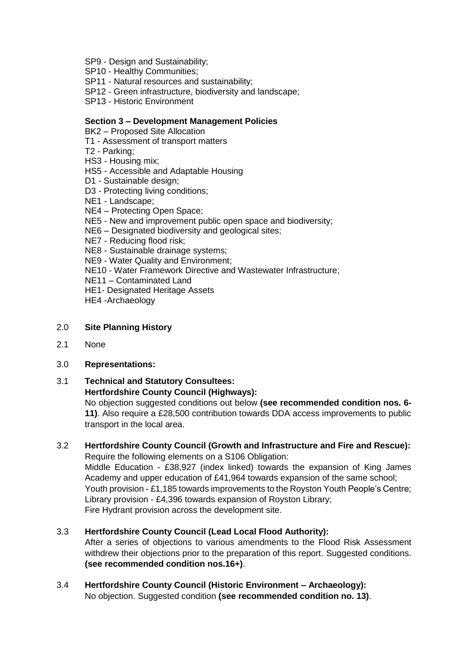- SP9 Design and Sustainability;
- SP10 Healthy Communities;
- SP11 Natural resources and sustainability;
- SP12 Green infrastructure, biodiversity and landscape;
- SP13 Historic Environment

#### **Section 3 – Development Management Policies**

- BK2 Proposed Site Allocation
- T1 Assessment of transport matters
- T2 Parking;
- HS3 Housing mix;
- HS5 Accessible and Adaptable Housing
- D1 Sustainable design;
- D3 Protecting living conditions;
- NE1 Landscape;
- NE4 Protecting Open Space;
- NE5 New and improvement public open space and biodiversity;
- NE6 Designated biodiversity and geological sites;
- NE7 Reducing flood risk;
- NE8 Sustainable drainage systems;
- NE9 Water Quality and Environment;
- NE10 Water Framework Directive and Wastewater Infrastructure;
- NE11 Contaminated Land
- HE1- Designated Heritage Assets
- HE4 -Archaeology

#### 2.0 **Site Planning History**

2.1 None

#### 3.0 **Representations:**

- 3.1 **Technical and Statutory Consultees: Hertfordshire County Council (Highways):**
	- No objection suggested conditions out below **(see recommended condition nos. 6- 11)**. Also require a £28,500 contribution towards DDA access improvements to public transport in the local area.

# 3.2 **Hertfordshire County Council (Growth and Infrastructure and Fire and Rescue):**

Require the following elements on a S106 Obligation: Middle Education - £38,927 (index linked) towards the expansion of King James Academy and upper education of £41,964 towards expansion of the same school; Youth provision - £1,185 towards improvements to the Royston Youth People's Centre; Library provision - £4,396 towards expansion of Royston Library; Fire Hydrant provision across the development site.

#### 3.3 **Hertfordshire County Council (Lead Local Flood Authority):**

After a series of objections to various amendments to the Flood Risk Assessment withdrew their objections prior to the preparation of this report. Suggested conditions. **(see recommended condition nos.16+)**.

#### 3.4 **Hertfordshire County Council (Historic Environment – Archaeology):** No objection. Suggested condition **(see recommended condition no. 13)**.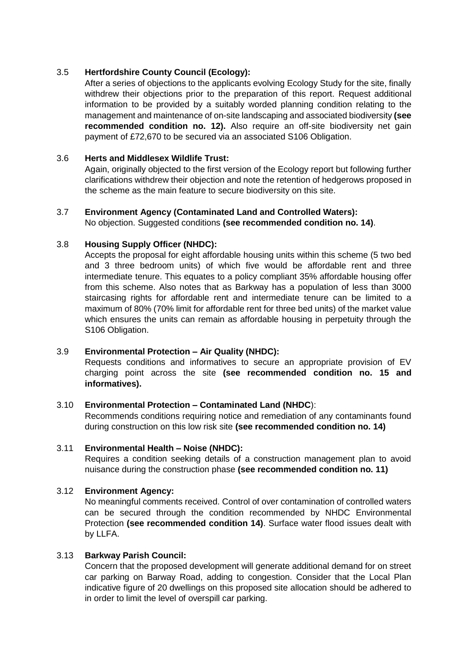# 3.5 **Hertfordshire County Council (Ecology):**

After a series of objections to the applicants evolving Ecology Study for the site, finally withdrew their objections prior to the preparation of this report. Request additional information to be provided by a suitably worded planning condition relating to the management and maintenance of on-site landscaping and associated biodiversity **(see recommended condition no. 12).** Also require an off-site biodiversity net gain payment of £72,670 to be secured via an associated S106 Obligation.

#### 3.6 **Herts and Middlesex Wildlife Trust:**

Again, originally objected to the first version of the Ecology report but following further clarifications withdrew their objection and note the retention of hedgerows proposed in the scheme as the main feature to secure biodiversity on this site.

# 3.7 **Environment Agency (Contaminated Land and Controlled Waters):**

No objection. Suggested conditions **(see recommended condition no. 14)**.

# 3.8 **Housing Supply Officer (NHDC):**

Accepts the proposal for eight affordable housing units within this scheme (5 two bed and 3 three bedroom units) of which five would be affordable rent and three intermediate tenure. This equates to a policy compliant 35% affordable housing offer from this scheme. Also notes that as Barkway has a population of less than 3000 staircasing rights for affordable rent and intermediate tenure can be limited to a maximum of 80% (70% limit for affordable rent for three bed units) of the market value which ensures the units can remain as affordable housing in perpetuity through the S106 Obligation.

# 3.9 **Environmental Protection – Air Quality (NHDC):**

Requests conditions and informatives to secure an appropriate provision of EV charging point across the site **(see recommended condition no. 15 and informatives).**

#### 3.10 **Environmental Protection – Contaminated Land (NHDC**):

Recommends conditions requiring notice and remediation of any contaminants found during construction on this low risk site **(see recommended condition no. 14)**

#### 3.11 **Environmental Health – Noise (NHDC):**

Requires a condition seeking details of a construction management plan to avoid nuisance during the construction phase **(see recommended condition no. 11)**

#### 3.12 **Environment Agency:**

No meaningful comments received. Control of over contamination of controlled waters can be secured through the condition recommended by NHDC Environmental Protection **(see recommended condition 14)**. Surface water flood issues dealt with by LLFA.

#### 3.13 **Barkway Parish Council:**

Concern that the proposed development will generate additional demand for on street car parking on Barway Road, adding to congestion. Consider that the Local Plan indicative figure of 20 dwellings on this proposed site allocation should be adhered to in order to limit the level of overspill car parking.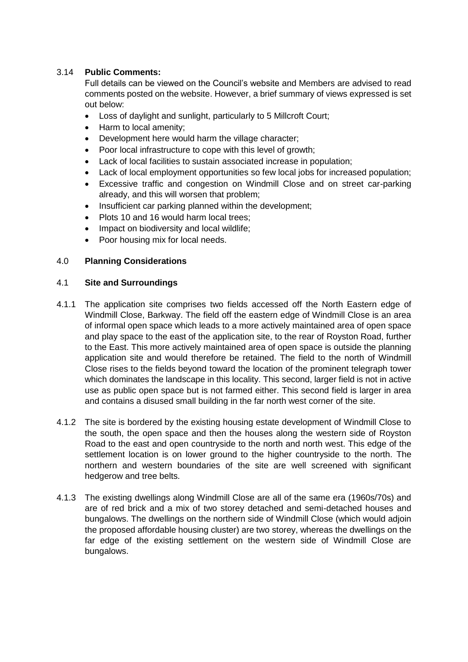# 3.14 **Public Comments:**

Full details can be viewed on the Council's website and Members are advised to read comments posted on the website. However, a brief summary of views expressed is set out below:

- Loss of daylight and sunlight, particularly to 5 Millcroft Court;
- Harm to local amenity;
- Development here would harm the village character;
- Poor local infrastructure to cope with this level of growth;
- Lack of local facilities to sustain associated increase in population;
- Lack of local employment opportunities so few local jobs for increased population;
- Excessive traffic and congestion on Windmill Close and on street car-parking already, and this will worsen that problem;
- Insufficient car parking planned within the development;
- Plots 10 and 16 would harm local trees;
- Impact on biodiversity and local wildlife;
- Poor housing mix for local needs.

#### 4.0 **Planning Considerations**

#### 4.1 **Site and Surroundings**

- 4.1.1 The application site comprises two fields accessed off the North Eastern edge of Windmill Close, Barkway. The field off the eastern edge of Windmill Close is an area of informal open space which leads to a more actively maintained area of open space and play space to the east of the application site, to the rear of Royston Road, further to the East. This more actively maintained area of open space is outside the planning application site and would therefore be retained. The field to the north of Windmill Close rises to the fields beyond toward the location of the prominent telegraph tower which dominates the landscape in this locality. This second, larger field is not in active use as public open space but is not farmed either. This second field is larger in area and contains a disused small building in the far north west corner of the site.
- 4.1.2 The site is bordered by the existing housing estate development of Windmill Close to the south, the open space and then the houses along the western side of Royston Road to the east and open countryside to the north and north west. This edge of the settlement location is on lower ground to the higher countryside to the north. The northern and western boundaries of the site are well screened with significant hedgerow and tree belts.
- 4.1.3 The existing dwellings along Windmill Close are all of the same era (1960s/70s) and are of red brick and a mix of two storey detached and semi-detached houses and bungalows. The dwellings on the northern side of Windmill Close (which would adjoin the proposed affordable housing cluster) are two storey, whereas the dwellings on the far edge of the existing settlement on the western side of Windmill Close are bungalows.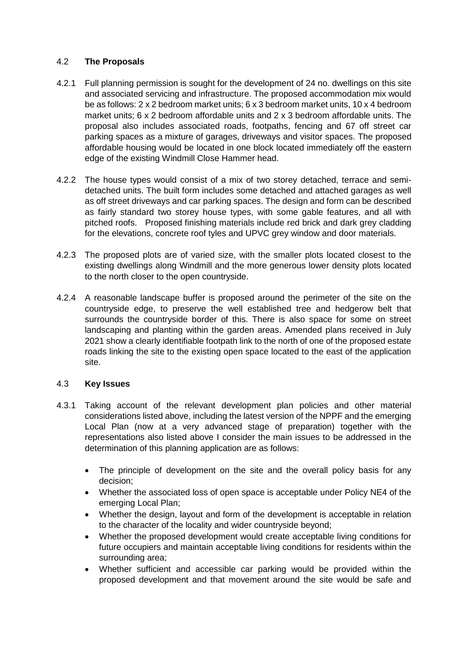# 4.2 **The Proposals**

- 4.2.1 Full planning permission is sought for the development of 24 no. dwellings on this site and associated servicing and infrastructure. The proposed accommodation mix would be as follows: 2 x 2 bedroom market units; 6 x 3 bedroom market units, 10 x 4 bedroom market units; 6 x 2 bedroom affordable units and 2 x 3 bedroom affordable units. The proposal also includes associated roads, footpaths, fencing and 67 off street car parking spaces as a mixture of garages, driveways and visitor spaces. The proposed affordable housing would be located in one block located immediately off the eastern edge of the existing Windmill Close Hammer head.
- 4.2.2 The house types would consist of a mix of two storey detached, terrace and semidetached units. The built form includes some detached and attached garages as well as off street driveways and car parking spaces. The design and form can be described as fairly standard two storey house types, with some gable features, and all with pitched roofs. Proposed finishing materials include red brick and dark grey cladding for the elevations, concrete roof tyles and UPVC grey window and door materials.
- 4.2.3 The proposed plots are of varied size, with the smaller plots located closest to the existing dwellings along Windmill and the more generous lower density plots located to the north closer to the open countryside.
- 4.2.4 A reasonable landscape buffer is proposed around the perimeter of the site on the countryside edge, to preserve the well established tree and hedgerow belt that surrounds the countryside border of this. There is also space for some on street landscaping and planting within the garden areas. Amended plans received in July 2021 show a clearly identifiable footpath link to the north of one of the proposed estate roads linking the site to the existing open space located to the east of the application site.

# 4.3 **Key Issues**

- 4.3.1 Taking account of the relevant development plan policies and other material considerations listed above, including the latest version of the NPPF and the emerging Local Plan (now at a very advanced stage of preparation) together with the representations also listed above I consider the main issues to be addressed in the determination of this planning application are as follows:
	- The principle of development on the site and the overall policy basis for any decision;
	- Whether the associated loss of open space is acceptable under Policy NE4 of the emerging Local Plan;
	- Whether the design, layout and form of the development is acceptable in relation to the character of the locality and wider countryside beyond;
	- Whether the proposed development would create acceptable living conditions for future occupiers and maintain acceptable living conditions for residents within the surrounding area;
	- Whether sufficient and accessible car parking would be provided within the proposed development and that movement around the site would be safe and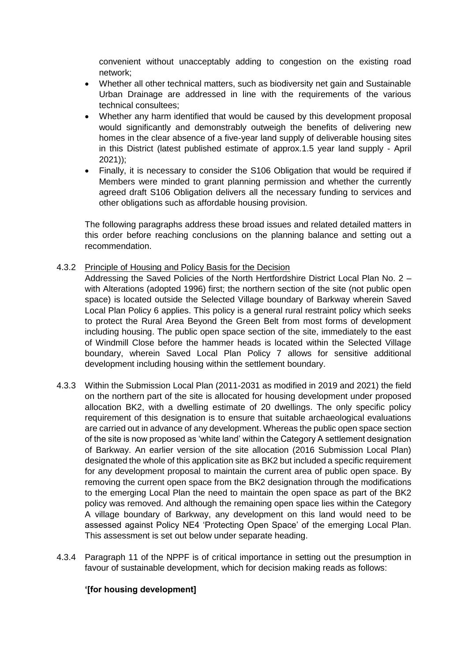convenient without unacceptably adding to congestion on the existing road network;

- Whether all other technical matters, such as biodiversity net gain and Sustainable Urban Drainage are addressed in line with the requirements of the various technical consultees;
- Whether any harm identified that would be caused by this development proposal would significantly and demonstrably outweigh the benefits of delivering new homes in the clear absence of a five-year land supply of deliverable housing sites in this District (latest published estimate of approx.1.5 year land supply - April 2021));
- Finally, it is necessary to consider the S106 Obligation that would be required if Members were minded to grant planning permission and whether the currently agreed draft S106 Obligation delivers all the necessary funding to services and other obligations such as affordable housing provision.

The following paragraphs address these broad issues and related detailed matters in this order before reaching conclusions on the planning balance and setting out a recommendation.

4.3.2 Principle of Housing and Policy Basis for the Decision

Addressing the Saved Policies of the North Hertfordshire District Local Plan No. 2 – with Alterations (adopted 1996) first; the northern section of the site (not public open space) is located outside the Selected Village boundary of Barkway wherein Saved Local Plan Policy 6 applies. This policy is a general rural restraint policy which seeks to protect the Rural Area Beyond the Green Belt from most forms of development including housing. The public open space section of the site, immediately to the east of Windmill Close before the hammer heads is located within the Selected Village boundary, wherein Saved Local Plan Policy 7 allows for sensitive additional development including housing within the settlement boundary.

- 4.3.3 Within the Submission Local Plan (2011-2031 as modified in 2019 and 2021) the field on the northern part of the site is allocated for housing development under proposed allocation BK2, with a dwelling estimate of 20 dwellings. The only specific policy requirement of this designation is to ensure that suitable archaeological evaluations are carried out in advance of any development. Whereas the public open space section of the site is now proposed as 'white land' within the Category A settlement designation of Barkway. An earlier version of the site allocation (2016 Submission Local Plan) designated the whole of this application site as BK2 but included a specific requirement for any development proposal to maintain the current area of public open space. By removing the current open space from the BK2 designation through the modifications to the emerging Local Plan the need to maintain the open space as part of the BK2 policy was removed. And although the remaining open space lies within the Category A village boundary of Barkway, any development on this land would need to be assessed against Policy NE4 'Protecting Open Space' of the emerging Local Plan. This assessment is set out below under separate heading.
- 4.3.4 Paragraph 11 of the NPPF is of critical importance in setting out the presumption in favour of sustainable development, which for decision making reads as follows:

#### **'[for housing development]**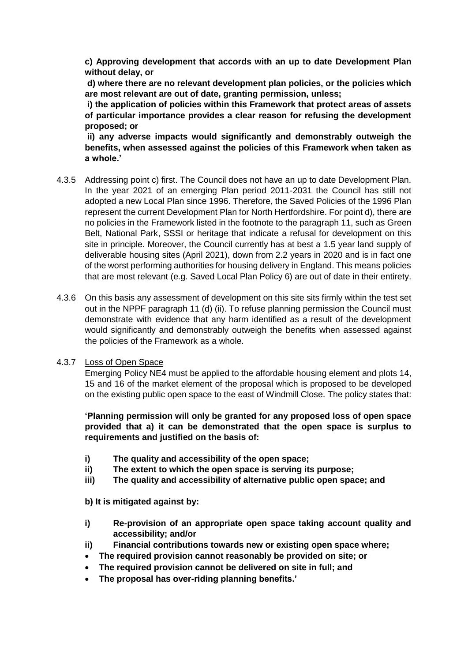**c) Approving development that accords with an up to date Development Plan without delay, or**

**d) where there are no relevant development plan policies, or the policies which are most relevant are out of date, granting permission, unless;**

**i) the application of policies within this Framework that protect areas of assets of particular importance provides a clear reason for refusing the development proposed; or**

**ii) any adverse impacts would significantly and demonstrably outweigh the benefits, when assessed against the policies of this Framework when taken as a whole.'**

- 4.3.5 Addressing point c) first. The Council does not have an up to date Development Plan. In the year 2021 of an emerging Plan period 2011-2031 the Council has still not adopted a new Local Plan since 1996. Therefore, the Saved Policies of the 1996 Plan represent the current Development Plan for North Hertfordshire. For point d), there are no policies in the Framework listed in the footnote to the paragraph 11, such as Green Belt, National Park, SSSI or heritage that indicate a refusal for development on this site in principle. Moreover, the Council currently has at best a 1.5 year land supply of deliverable housing sites (April 2021), down from 2.2 years in 2020 and is in fact one of the worst performing authorities for housing delivery in England. This means policies that are most relevant (e.g. Saved Local Plan Policy 6) are out of date in their entirety.
- 4.3.6 On this basis any assessment of development on this site sits firmly within the test set out in the NPPF paragraph 11 (d) (ii). To refuse planning permission the Council must demonstrate with evidence that any harm identified as a result of the development would significantly and demonstrably outweigh the benefits when assessed against the policies of the Framework as a whole.

# 4.3.7 Loss of Open Space

Emerging Policy NE4 must be applied to the affordable housing element and plots 14, 15 and 16 of the market element of the proposal which is proposed to be developed on the existing public open space to the east of Windmill Close. The policy states that:

**'Planning permission will only be granted for any proposed loss of open space provided that a) it can be demonstrated that the open space is surplus to requirements and justified on the basis of:**

- **i) The quality and accessibility of the open space;**
- **ii) The extent to which the open space is serving its purpose;**
- **iii) The quality and accessibility of alternative public open space; and**

**b) It is mitigated against by:**

- **i) Re-provision of an appropriate open space taking account quality and accessibility; and/or**
- **ii) Financial contributions towards new or existing open space where;**
- **The required provision cannot reasonably be provided on site; or**
- **The required provision cannot be delivered on site in full; and**
- **The proposal has over-riding planning benefits.'**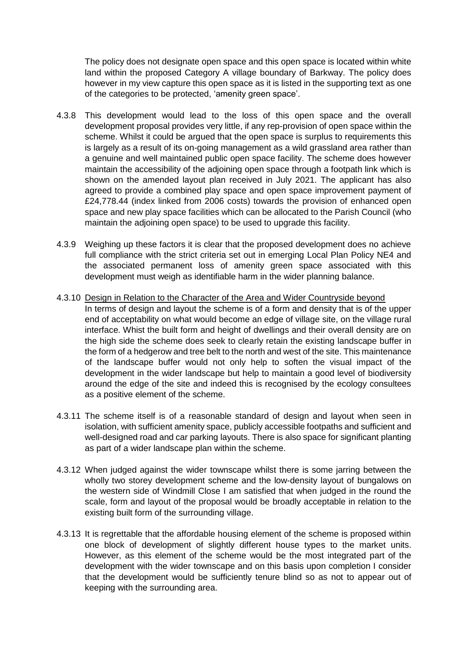The policy does not designate open space and this open space is located within white land within the proposed Category A village boundary of Barkway. The policy does however in my view capture this open space as it is listed in the supporting text as one of the categories to be protected, 'amenity green space'.

- 4.3.8 This development would lead to the loss of this open space and the overall development proposal provides very little, if any rep-provision of open space within the scheme. Whilst it could be argued that the open space is surplus to requirements this is largely as a result of its on-going management as a wild grassland area rather than a genuine and well maintained public open space facility. The scheme does however maintain the accessibility of the adjoining open space through a footpath link which is shown on the amended layout plan received in July 2021. The applicant has also agreed to provide a combined play space and open space improvement payment of £24,778.44 (index linked from 2006 costs) towards the provision of enhanced open space and new play space facilities which can be allocated to the Parish Council (who maintain the adjoining open space) to be used to upgrade this facility.
- 4.3.9 Weighing up these factors it is clear that the proposed development does no achieve full compliance with the strict criteria set out in emerging Local Plan Policy NE4 and the associated permanent loss of amenity green space associated with this development must weigh as identifiable harm in the wider planning balance.
- 4.3.10 Design in Relation to the Character of the Area and Wider Countryside beyond In terms of design and layout the scheme is of a form and density that is of the upper end of acceptability on what would become an edge of village site, on the village rural interface. Whist the built form and height of dwellings and their overall density are on the high side the scheme does seek to clearly retain the existing landscape buffer in the form of a hedgerow and tree belt to the north and west of the site. This maintenance of the landscape buffer would not only help to soften the visual impact of the development in the wider landscape but help to maintain a good level of biodiversity around the edge of the site and indeed this is recognised by the ecology consultees as a positive element of the scheme.
- 4.3.11 The scheme itself is of a reasonable standard of design and layout when seen in isolation, with sufficient amenity space, publicly accessible footpaths and sufficient and well-designed road and car parking layouts. There is also space for significant planting as part of a wider landscape plan within the scheme.
- 4.3.12 When judged against the wider townscape whilst there is some jarring between the wholly two storey development scheme and the low-density layout of bungalows on the western side of Windmill Close I am satisfied that when judged in the round the scale, form and layout of the proposal would be broadly acceptable in relation to the existing built form of the surrounding village.
- 4.3.13 It is regrettable that the affordable housing element of the scheme is proposed within one block of development of slightly different house types to the market units. However, as this element of the scheme would be the most integrated part of the development with the wider townscape and on this basis upon completion I consider that the development would be sufficiently tenure blind so as not to appear out of keeping with the surrounding area.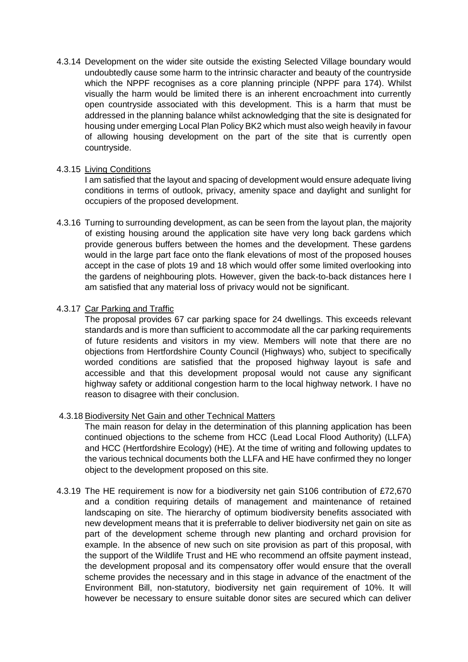4.3.14 Development on the wider site outside the existing Selected Village boundary would undoubtedly cause some harm to the intrinsic character and beauty of the countryside which the NPPF recognises as a core planning principle (NPPF para 174). Whilst visually the harm would be limited there is an inherent encroachment into currently open countryside associated with this development. This is a harm that must be addressed in the planning balance whilst acknowledging that the site is designated for housing under emerging Local Plan Policy BK2 which must also weigh heavily in favour of allowing housing development on the part of the site that is currently open countryside.

### 4.3.15 Living Conditions

I am satisfied that the layout and spacing of development would ensure adequate living conditions in terms of outlook, privacy, amenity space and daylight and sunlight for occupiers of the proposed development.

4.3.16 Turning to surrounding development, as can be seen from the layout plan, the majority of existing housing around the application site have very long back gardens which provide generous buffers between the homes and the development. These gardens would in the large part face onto the flank elevations of most of the proposed houses accept in the case of plots 19 and 18 which would offer some limited overlooking into the gardens of neighbouring plots. However, given the back-to-back distances here I am satisfied that any material loss of privacy would not be significant.

# 4.3.17 Car Parking and Traffic

The proposal provides 67 car parking space for 24 dwellings. This exceeds relevant standards and is more than sufficient to accommodate all the car parking requirements of future residents and visitors in my view. Members will note that there are no objections from Hertfordshire County Council (Highways) who, subject to specifically worded conditions are satisfied that the proposed highway layout is safe and accessible and that this development proposal would not cause any significant highway safety or additional congestion harm to the local highway network. I have no reason to disagree with their conclusion.

# 4.3.18 Biodiversity Net Gain and other Technical Matters

The main reason for delay in the determination of this planning application has been continued objections to the scheme from HCC (Lead Local Flood Authority) (LLFA) and HCC (Hertfordshire Ecology) (HE). At the time of writing and following updates to the various technical documents both the LLFA and HE have confirmed they no longer object to the development proposed on this site.

4.3.19 The HE requirement is now for a biodiversity net gain S106 contribution of £72,670 and a condition requiring details of management and maintenance of retained landscaping on site. The hierarchy of optimum biodiversity benefits associated with new development means that it is preferrable to deliver biodiversity net gain on site as part of the development scheme through new planting and orchard provision for example. In the absence of new such on site provision as part of this proposal, with the support of the Wildlife Trust and HE who recommend an offsite payment instead, the development proposal and its compensatory offer would ensure that the overall scheme provides the necessary and in this stage in advance of the enactment of the Environment Bill, non-statutory, biodiversity net gain requirement of 10%. It will however be necessary to ensure suitable donor sites are secured which can deliver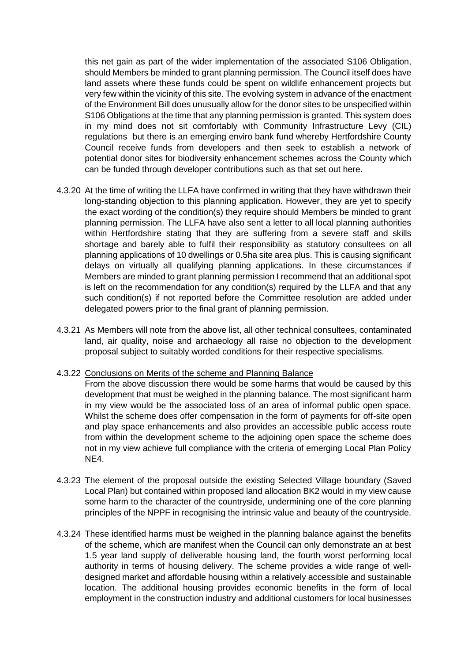this net gain as part of the wider implementation of the associated S106 Obligation, should Members be minded to grant planning permission. The Council itself does have land assets where these funds could be spent on wildlife enhancement projects but very few within the vicinity of this site. The evolving system in advance of the enactment of the Environment Bill does unusually allow for the donor sites to be unspecified within S106 Obligations at the time that any planning permission is granted. This system does in my mind does not sit comfortably with Community Infrastructure Levy (CIL) regulations but there is an emerging enviro bank fund whereby Hertfordshire County Council receive funds from developers and then seek to establish a network of potential donor sites for biodiversity enhancement schemes across the County which can be funded through developer contributions such as that set out here.

- 4.3.20 At the time of writing the LLFA have confirmed in writing that they have withdrawn their long-standing objection to this planning application. However, they are yet to specify the exact wording of the condition(s) they require should Members be minded to grant planning permission. The LLFA have also sent a letter to all local planning authorities within Hertfordshire stating that they are suffering from a severe staff and skills shortage and barely able to fulfil their responsibility as statutory consultees on all planning applications of 10 dwellings or 0.5ha site area plus. This is causing significant delays on virtually all qualifying planning applications. In these circumstances if Members are minded to grant planning permission I recommend that an additional spot is left on the recommendation for any condition(s) required by the LLFA and that any such condition(s) if not reported before the Committee resolution are added under delegated powers prior to the final grant of planning permission.
- 4.3.21 As Members will note from the above list, all other technical consultees, contaminated land, air quality, noise and archaeology all raise no objection to the development proposal subject to suitably worded conditions for their respective specialisms.

#### 4.3.22 Conclusions on Merits of the scheme and Planning Balance

- From the above discussion there would be some harms that would be caused by this development that must be weighed in the planning balance. The most significant harm in my view would be the associated loss of an area of informal public open space. Whilst the scheme does offer compensation in the form of payments for off-site open and play space enhancements and also provides an accessible public access route from within the development scheme to the adjoining open space the scheme does not in my view achieve full compliance with the criteria of emerging Local Plan Policy NE4.
- 4.3.23 The element of the proposal outside the existing Selected Village boundary (Saved Local Plan) but contained within proposed land allocation BK2 would in my view cause some harm to the character of the countryside, undermining one of the core planning principles of the NPPF in recognising the intrinsic value and beauty of the countryside.
- 4.3.24 These identified harms must be weighed in the planning balance against the benefits of the scheme, which are manifest when the Council can only demonstrate an at best 1.5 year land supply of deliverable housing land, the fourth worst performing local authority in terms of housing delivery. The scheme provides a wide range of welldesigned market and affordable housing within a relatively accessible and sustainable location. The additional housing provides economic benefits in the form of local employment in the construction industry and additional customers for local businesses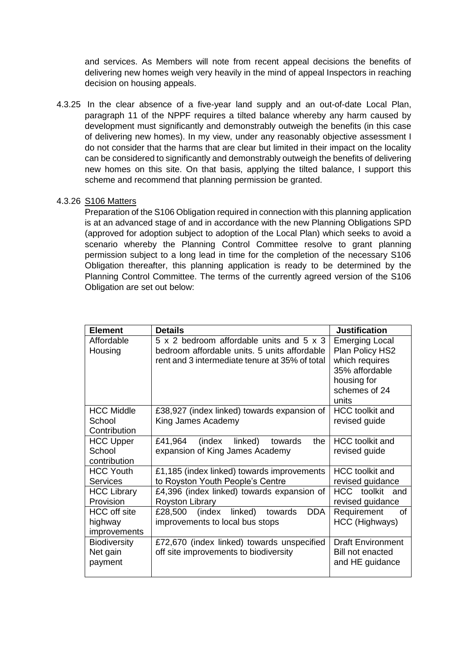and services. As Members will note from recent appeal decisions the benefits of delivering new homes weigh very heavily in the mind of appeal Inspectors in reaching decision on housing appeals.

4.3.25 In the clear absence of a five-year land supply and an out-of-date Local Plan, paragraph 11 of the NPPF requires a tilted balance whereby any harm caused by development must significantly and demonstrably outweigh the benefits (in this case of delivering new homes). In my view, under any reasonably objective assessment I do not consider that the harms that are clear but limited in their impact on the locality can be considered to significantly and demonstrably outweigh the benefits of delivering new homes on this site. On that basis, applying the tilted balance, I support this scheme and recommend that planning permission be granted.

#### 4.3.26 S106 Matters

Preparation of the S106 Obligation required in connection with this planning application is at an advanced stage of and in accordance with the new Planning Obligations SPD (approved for adoption subject to adoption of the Local Plan) which seeks to avoid a scenario whereby the Planning Control Committee resolve to grant planning permission subject to a long lead in time for the completion of the necessary S106 Obligation thereafter, this planning application is ready to be determined by the Planning Control Committee. The terms of the currently agreed version of the S106 Obligation are set out below:

| <b>Element</b>             | <b>Details</b>                                        | <b>Justification</b>     |
|----------------------------|-------------------------------------------------------|--------------------------|
| Affordable                 | 5 x 2 bedroom affordable units and 5 x 3              | <b>Emerging Local</b>    |
| Housing                    | bedroom affordable units. 5 units affordable          | Plan Policy HS2          |
|                            | rent and 3 intermediate tenure at 35% of total        | which requires           |
|                            |                                                       | 35% affordable           |
|                            |                                                       | housing for              |
|                            |                                                       | schemes of 24            |
|                            |                                                       | units                    |
| <b>HCC Middle</b>          | £38,927 (index linked) towards expansion of           | <b>HCC</b> toolkit and   |
| School<br>Contribution     | King James Academy                                    | revised guide            |
|                            |                                                       | <b>HCC</b> toolkit and   |
| <b>HCC Upper</b><br>School | linked)<br>£41,964<br>(index<br>towards<br>the        |                          |
| contribution               | expansion of King James Academy                       | revised guide            |
| <b>HCC Youth</b>           | £1,185 (index linked) towards improvements            | <b>HCC</b> toolkit and   |
| <b>Services</b>            | to Royston Youth People's Centre                      | revised guidance         |
| <b>HCC Library</b>         | £4,396 (index linked) towards expansion of            | HCC toolkit<br>and       |
| Provision                  | <b>Royston Library</b>                                | revised guidance         |
| <b>HCC</b> off site        | linked)<br>towards<br><b>DDA</b><br>£28,500<br>(index | Requirement<br>οf        |
| highway                    | improvements to local bus stops                       | HCC (Highways)           |
| improvements               |                                                       |                          |
| <b>Biodiversity</b>        | £72,670 (index linked) towards unspecified            | <b>Draft Environment</b> |
| Net gain                   | off site improvements to biodiversity                 | <b>Bill not enacted</b>  |
| payment                    |                                                       | and HE guidance          |
|                            |                                                       |                          |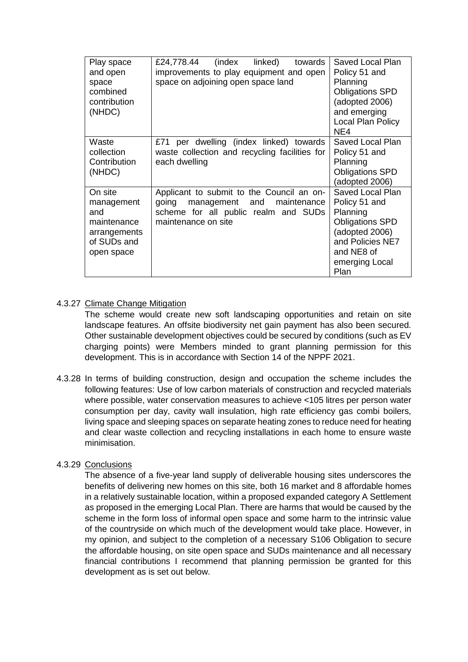| Play space<br>and open<br>space<br>combined<br>contribution<br>(NHDC)                    | linked)<br>£24,778.44<br>(index<br>towards<br>improvements to play equipment and open<br>space on adjoining open space land                        | Saved Local Plan<br>Policy 51 and<br>Planning<br><b>Obligations SPD</b><br>(adopted 2006)<br>and emerging<br>Local Plan Policy<br>NE4                 |
|------------------------------------------------------------------------------------------|----------------------------------------------------------------------------------------------------------------------------------------------------|-------------------------------------------------------------------------------------------------------------------------------------------------------|
| Waste<br>collection<br>Contribution<br>(NHDC)                                            | £71 per dwelling (index linked) towards<br>waste collection and recycling facilities for<br>each dwelling                                          | Saved Local Plan<br>Policy 51 and<br>Planning<br><b>Obligations SPD</b><br>(adopted 2006)                                                             |
| On site<br>management<br>and<br>maintenance<br>arrangements<br>of SUDs and<br>open space | Applicant to submit to the Council an on-<br>going<br>management and<br>maintenance<br>scheme for all public realm and SUDs<br>maintenance on site | Saved Local Plan<br>Policy 51 and<br>Planning<br><b>Obligations SPD</b><br>(adopted 2006)<br>and Policies NE7<br>and NE8 of<br>emerging Local<br>Plan |

# 4.3.27 Climate Change Mitigation

The scheme would create new soft landscaping opportunities and retain on site landscape features. An offsite biodiversity net gain payment has also been secured. Other sustainable development objectives could be secured by conditions (such as EV charging points) were Members minded to grant planning permission for this development. This is in accordance with Section 14 of the NPPF 2021.

4.3.28 In terms of building construction, design and occupation the scheme includes the following features: Use of low carbon materials of construction and recycled materials where possible, water conservation measures to achieve <105 litres per person water consumption per day, cavity wall insulation, high rate efficiency gas combi boilers, living space and sleeping spaces on separate heating zones to reduce need for heating and clear waste collection and recycling installations in each home to ensure waste minimisation.

#### 4.3.29 Conclusions

The absence of a five-year land supply of deliverable housing sites underscores the benefits of delivering new homes on this site, both 16 market and 8 affordable homes in a relatively sustainable location, within a proposed expanded category A Settlement as proposed in the emerging Local Plan. There are harms that would be caused by the scheme in the form loss of informal open space and some harm to the intrinsic value of the countryside on which much of the development would take place. However, in my opinion, and subject to the completion of a necessary S106 Obligation to secure the affordable housing, on site open space and SUDs maintenance and all necessary financial contributions I recommend that planning permission be granted for this development as is set out below.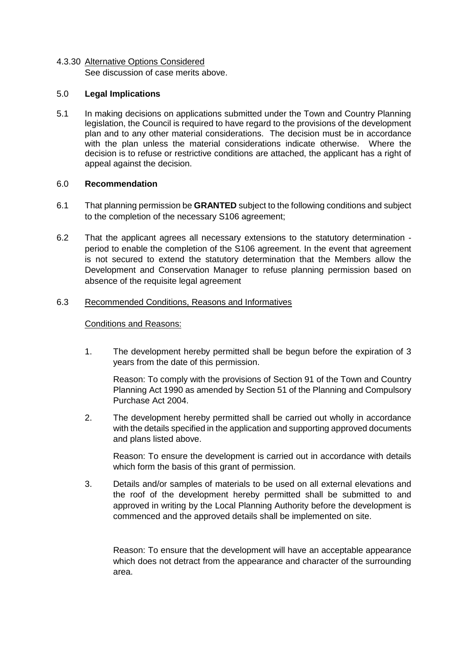## 4.3.30 Alternative Options Considered See discussion of case merits above.

#### 5.0 **Legal Implications**

5.1 In making decisions on applications submitted under the Town and Country Planning legislation, the Council is required to have regard to the provisions of the development plan and to any other material considerations. The decision must be in accordance with the plan unless the material considerations indicate otherwise. Where the decision is to refuse or restrictive conditions are attached, the applicant has a right of appeal against the decision.

# 6.0 **Recommendation**

- 6.1 That planning permission be **GRANTED** subject to the following conditions and subject to the completion of the necessary S106 agreement;
- 6.2 That the applicant agrees all necessary extensions to the statutory determination period to enable the completion of the S106 agreement. In the event that agreement is not secured to extend the statutory determination that the Members allow the Development and Conservation Manager to refuse planning permission based on absence of the requisite legal agreement

#### 6.3 Recommended Conditions, Reasons and Informatives

# Conditions and Reasons:

1. The development hereby permitted shall be begun before the expiration of 3 years from the date of this permission.

Reason: To comply with the provisions of Section 91 of the Town and Country Planning Act 1990 as amended by Section 51 of the Planning and Compulsory Purchase Act 2004.

2. The development hereby permitted shall be carried out wholly in accordance with the details specified in the application and supporting approved documents and plans listed above.

Reason: To ensure the development is carried out in accordance with details which form the basis of this grant of permission.

3. Details and/or samples of materials to be used on all external elevations and the roof of the development hereby permitted shall be submitted to and approved in writing by the Local Planning Authority before the development is commenced and the approved details shall be implemented on site.

Reason: To ensure that the development will have an acceptable appearance which does not detract from the appearance and character of the surrounding area.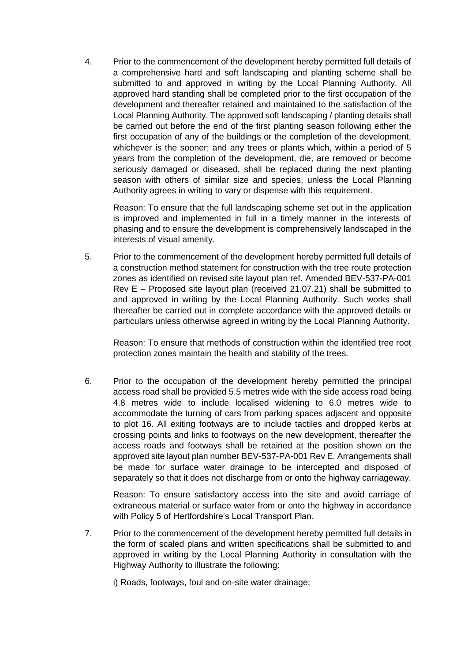4. Prior to the commencement of the development hereby permitted full details of a comprehensive hard and soft landscaping and planting scheme shall be submitted to and approved in writing by the Local Planning Authority. All approved hard standing shall be completed prior to the first occupation of the development and thereafter retained and maintained to the satisfaction of the Local Planning Authority. The approved soft landscaping / planting details shall be carried out before the end of the first planting season following either the first occupation of any of the buildings or the completion of the development, whichever is the sooner; and any trees or plants which, within a period of 5 years from the completion of the development, die, are removed or become seriously damaged or diseased, shall be replaced during the next planting season with others of similar size and species, unless the Local Planning Authority agrees in writing to vary or dispense with this requirement.

Reason: To ensure that the full landscaping scheme set out in the application is improved and implemented in full in a timely manner in the interests of phasing and to ensure the development is comprehensively landscaped in the interests of visual amenity.

5. Prior to the commencement of the development hereby permitted full details of a construction method statement for construction with the tree route protection zones as identified on revised site layout plan ref. Amended BEV-537-PA-001 Rev E – Proposed site layout plan (received 21.07.21) shall be submitted to and approved in writing by the Local Planning Authority. Such works shall thereafter be carried out in complete accordance with the approved details or particulars unless otherwise agreed in writing by the Local Planning Authority.

Reason: To ensure that methods of construction within the identified tree root protection zones maintain the health and stability of the trees.

6. Prior to the occupation of the development hereby permitted the principal access road shall be provided 5.5 metres wide with the side access road being 4.8 metres wide to include localised widening to 6.0 metres wide to accommodate the turning of cars from parking spaces adjacent and opposite to plot 16. All exiting footways are to include tactiles and dropped kerbs at crossing points and links to footways on the new development, thereafter the access roads and footways shall be retained at the position shown on the approved site layout plan number BEV-537-PA-001 Rev E. Arrangements shall be made for surface water drainage to be intercepted and disposed of separately so that it does not discharge from or onto the highway carriageway.

Reason: To ensure satisfactory access into the site and avoid carriage of extraneous material or surface water from or onto the highway in accordance with Policy 5 of Hertfordshire's Local Transport Plan.

- 7. Prior to the commencement of the development hereby permitted full details in the form of scaled plans and written specifications shall be submitted to and approved in writing by the Local Planning Authority in consultation with the Highway Authority to illustrate the following:
	- i) Roads, footways, foul and on-site water drainage;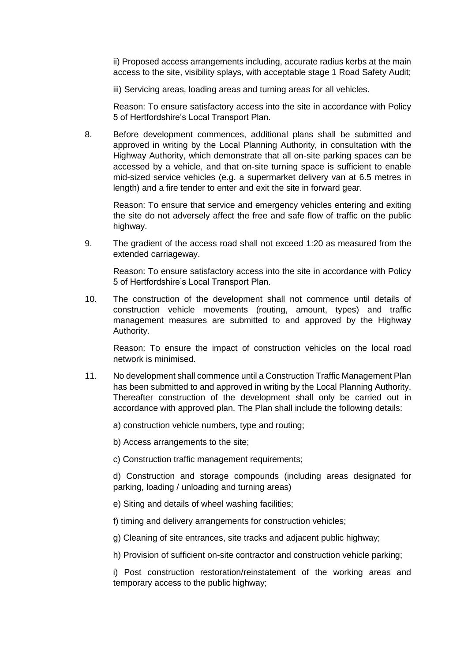ii) Proposed access arrangements including, accurate radius kerbs at the main access to the site, visibility splays, with acceptable stage 1 Road Safety Audit;

iii) Servicing areas, loading areas and turning areas for all vehicles.

Reason: To ensure satisfactory access into the site in accordance with Policy 5 of Hertfordshire's Local Transport Plan.

8. Before development commences, additional plans shall be submitted and approved in writing by the Local Planning Authority, in consultation with the Highway Authority, which demonstrate that all on-site parking spaces can be accessed by a vehicle, and that on-site turning space is sufficient to enable mid-sized service vehicles (e.g. a supermarket delivery van at 6.5 metres in length) and a fire tender to enter and exit the site in forward gear.

Reason: To ensure that service and emergency vehicles entering and exiting the site do not adversely affect the free and safe flow of traffic on the public highway.

9. The gradient of the access road shall not exceed 1:20 as measured from the extended carriageway.

Reason: To ensure satisfactory access into the site in accordance with Policy 5 of Hertfordshire's Local Transport Plan.

10. The construction of the development shall not commence until details of construction vehicle movements (routing, amount, types) and traffic management measures are submitted to and approved by the Highway Authority.

Reason: To ensure the impact of construction vehicles on the local road network is minimised.

11. No development shall commence until a Construction Traffic Management Plan has been submitted to and approved in writing by the Local Planning Authority. Thereafter construction of the development shall only be carried out in accordance with approved plan. The Plan shall include the following details:

a) construction vehicle numbers, type and routing;

b) Access arrangements to the site;

c) Construction traffic management requirements;

d) Construction and storage compounds (including areas designated for parking, loading / unloading and turning areas)

- e) Siting and details of wheel washing facilities;
- f) timing and delivery arrangements for construction vehicles;

g) Cleaning of site entrances, site tracks and adjacent public highway;

h) Provision of sufficient on-site contractor and construction vehicle parking;

i) Post construction restoration/reinstatement of the working areas and temporary access to the public highway;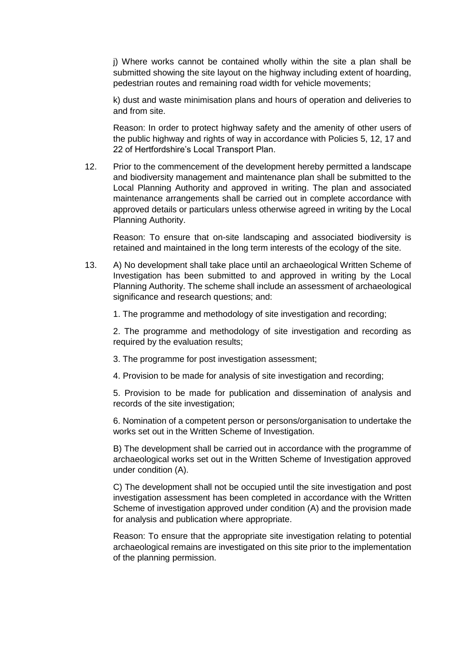j) Where works cannot be contained wholly within the site a plan shall be submitted showing the site layout on the highway including extent of hoarding, pedestrian routes and remaining road width for vehicle movements;

k) dust and waste minimisation plans and hours of operation and deliveries to and from site.

Reason: In order to protect highway safety and the amenity of other users of the public highway and rights of way in accordance with Policies 5, 12, 17 and 22 of Hertfordshire's Local Transport Plan.

12. Prior to the commencement of the development hereby permitted a landscape and biodiversity management and maintenance plan shall be submitted to the Local Planning Authority and approved in writing. The plan and associated maintenance arrangements shall be carried out in complete accordance with approved details or particulars unless otherwise agreed in writing by the Local Planning Authority.

Reason: To ensure that on-site landscaping and associated biodiversity is retained and maintained in the long term interests of the ecology of the site.

13. A) No development shall take place until an archaeological Written Scheme of Investigation has been submitted to and approved in writing by the Local Planning Authority. The scheme shall include an assessment of archaeological significance and research questions; and:

1. The programme and methodology of site investigation and recording;

2. The programme and methodology of site investigation and recording as required by the evaluation results;

- 3. The programme for post investigation assessment;
- 4. Provision to be made for analysis of site investigation and recording;

5. Provision to be made for publication and dissemination of analysis and records of the site investigation;

6. Nomination of a competent person or persons/organisation to undertake the works set out in the Written Scheme of Investigation.

B) The development shall be carried out in accordance with the programme of archaeological works set out in the Written Scheme of Investigation approved under condition (A).

C) The development shall not be occupied until the site investigation and post investigation assessment has been completed in accordance with the Written Scheme of investigation approved under condition (A) and the provision made for analysis and publication where appropriate.

Reason: To ensure that the appropriate site investigation relating to potential archaeological remains are investigated on this site prior to the implementation of the planning permission.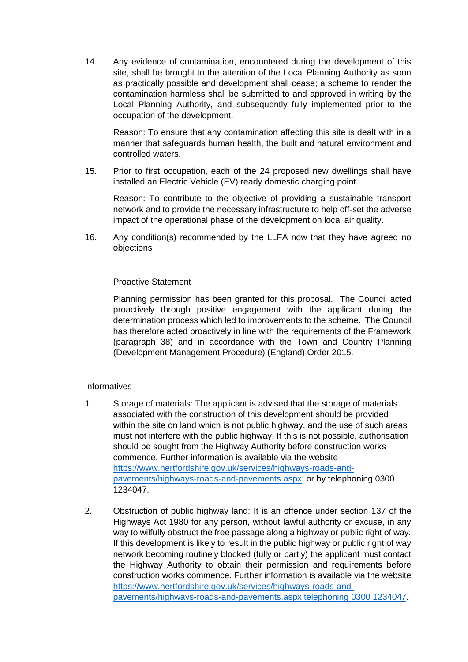14. Any evidence of contamination, encountered during the development of this site, shall be brought to the attention of the Local Planning Authority as soon as practically possible and development shall cease; a scheme to render the contamination harmless shall be submitted to and approved in writing by the Local Planning Authority, and subsequently fully implemented prior to the occupation of the development.

Reason: To ensure that any contamination affecting this site is dealt with in a manner that safeguards human health, the built and natural environment and controlled waters.

15. Prior to first occupation, each of the 24 proposed new dwellings shall have installed an Electric Vehicle (EV) ready domestic charging point.

Reason: To contribute to the objective of providing a sustainable transport network and to provide the necessary infrastructure to help off-set the adverse impact of the operational phase of the development on local air quality.

16. Any condition(s) recommended by the LLFA now that they have agreed no objections

#### Proactive Statement

Planning permission has been granted for this proposal. The Council acted proactively through positive engagement with the applicant during the determination process which led to improvements to the scheme. The Council has therefore acted proactively in line with the requirements of the Framework (paragraph 38) and in accordance with the Town and Country Planning (Development Management Procedure) (England) Order 2015.

#### Informatives

- 1. Storage of materials: The applicant is advised that the storage of materials associated with the construction of this development should be provided within the site on land which is not public highway, and the use of such areas must not interfere with the public highway. If this is not possible, authorisation should be sought from the Highway Authority before construction works commence. Further information is available via the website [https://www.hertfordshire.gov.uk/services/highways-roads-and](https://www.hertfordshire.gov.uk/services/highways-roads-and-pavements/highways-roads-and-pavements.aspx)[pavements/highways-roads-and-pavements.aspx](https://www.hertfordshire.gov.uk/services/highways-roads-and-pavements/highways-roads-and-pavements.aspx) or by telephoning 0300 1234047.
- 2. Obstruction of public highway land: It is an offence under section 137 of the Highways Act 1980 for any person, without lawful authority or excuse, in any way to wilfully obstruct the free passage along a highway or public right of way. If this development is likely to result in the public highway or public right of way network becoming routinely blocked (fully or partly) the applicant must contact the Highway Authority to obtain their permission and requirements before construction works commence. Further information is available via the website [https://www.hertfordshire.gov.uk/services/highways-roads-and](https://www.hertfordshire.gov.uk/services/highways-roads-and-pavements/highways-roads-and-pavements.aspx%20telephoning%200300%201234047)[pavements/highways-roads-and-pavements.aspx telephoning 0300 1234047.](https://www.hertfordshire.gov.uk/services/highways-roads-and-pavements/highways-roads-and-pavements.aspx%20telephoning%200300%201234047)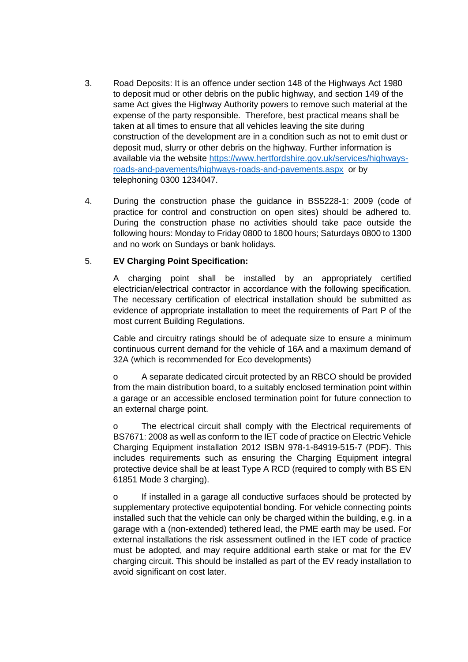- 3. Road Deposits: It is an offence under section 148 of the Highways Act 1980 to deposit mud or other debris on the public highway, and section 149 of the same Act gives the Highway Authority powers to remove such material at the expense of the party responsible. Therefore, best practical means shall be taken at all times to ensure that all vehicles leaving the site during construction of the development are in a condition such as not to emit dust or deposit mud, slurry or other debris on the highway. Further information is available via the website [https://www.hertfordshire.gov.uk/services/highways](https://www.hertfordshire.gov.uk/services/highways-roads-and-pavements/highways-roads-and-pavements.aspx)[roads-and-pavements/highways-roads-and-pavements.aspx](https://www.hertfordshire.gov.uk/services/highways-roads-and-pavements/highways-roads-and-pavements.aspx) or by telephoning 0300 1234047.
- 4. During the construction phase the guidance in BS5228-1: 2009 (code of practice for control and construction on open sites) should be adhered to. During the construction phase no activities should take pace outside the following hours: Monday to Friday 0800 to 1800 hours; Saturdays 0800 to 1300 and no work on Sundays or bank holidays.

# 5. **EV Charging Point Specification:**

A charging point shall be installed by an appropriately certified electrician/electrical contractor in accordance with the following specification. The necessary certification of electrical installation should be submitted as evidence of appropriate installation to meet the requirements of Part P of the most current Building Regulations.

Cable and circuitry ratings should be of adequate size to ensure a minimum continuous current demand for the vehicle of 16A and a maximum demand of 32A (which is recommended for Eco developments)

o A separate dedicated circuit protected by an RBCO should be provided from the main distribution board, to a suitably enclosed termination point within a garage or an accessible enclosed termination point for future connection to an external charge point.

o The electrical circuit shall comply with the Electrical requirements of BS7671: 2008 as well as conform to the IET code of practice on Electric Vehicle Charging Equipment installation 2012 ISBN 978-1-84919-515-7 (PDF). This includes requirements such as ensuring the Charging Equipment integral protective device shall be at least Type A RCD (required to comply with BS EN 61851 Mode 3 charging).

o If installed in a garage all conductive surfaces should be protected by supplementary protective equipotential bonding. For vehicle connecting points installed such that the vehicle can only be charged within the building, e.g. in a garage with a (non-extended) tethered lead, the PME earth may be used. For external installations the risk assessment outlined in the IET code of practice must be adopted, and may require additional earth stake or mat for the EV charging circuit. This should be installed as part of the EV ready installation to avoid significant on cost later.